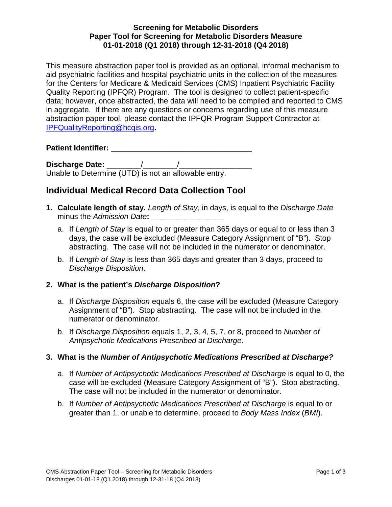### **Screening for Metabolic Disorders Paper Tool for Screening for Metabolic Disorders Measure 01-01-2018 (Q1 2018) through 12-31-2018 (Q4 2018)**

This measure abstraction paper tool is provided as an optional, informal mechanism to aid psychiatric facilities and hospital psychiatric units in the collection of the measures for the Centers for Medicare & Medicaid Services (CMS) Inpatient Psychiatric Facility Quality Reporting (IPFQR) Program. The tool is designed to collect patient-specific data; however, once abstracted, the data will need to be compiled and reported to CMS in aggregate. If there are any questions or concerns regarding use of this measure abstraction paper tool, please contact the IPFQR Program Support Contractor at [IPFQualityReporting@hcqis.org](mailto:IPFQualityReporting@hcqis.org)**.** 

**Patient Identifier:** \_\_\_\_\_\_\_\_\_\_\_\_\_\_\_\_\_\_\_\_\_\_\_\_\_\_\_\_\_\_\_\_\_

**Discharge Date:** \_\_\_\_\_\_\_\_/\_\_\_\_\_\_\_\_/\_\_\_\_\_\_\_\_\_\_\_\_\_\_\_\_\_ Unable to Determine (UTD) is not an allowable entry.

# **Individual Medical Record Data Collection Tool**

- **1. Calculate length of stay.** *Length of Stay*, in days, is equal to the *Discharge Date* minus the *Admission Date*:
	- a. If *Length of Stay* is equal to or greater than 365 days or equal to or less than 3 days, the case will be excluded (Measure Category Assignment of "B"). Stop abstracting. The case will not be included in the numerator or denominator.
	- b. If *Length of Stay* is less than 365 days and greater than 3 days, proceed to *Discharge Disposition*.

## **2. What is the patient's** *Discharge Disposition***?**

- a. If *Discharge Disposition* equals 6, the case will be excluded (Measure Category Assignment of "B"). Stop abstracting. The case will not be included in the numerator or denominator.
- b. If *Discharge Disposition* equals 1, 2, 3, 4, 5, 7, or 8, proceed to *Number of Antipsychotic Medications Prescribed at Discharge*.

### **3. What is the** *Number of Antipsychotic Medications Prescribed at Discharge?*

- a. If *Number of Antipsychotic Medications Prescribed at Discharge* is equal to 0, the case will be excluded (Measure Category Assignment of "B"). Stop abstracting. The case will not be included in the numerator or denominator.
- b. If *Number of Antipsychotic Medications Prescribed at Discharge* is equal to or greater than 1, or unable to determine, proceed to *Body Mass Index* (*BMI*).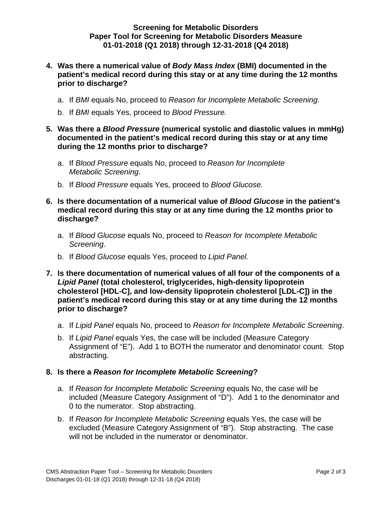### **Screening for Metabolic Disorders Paper Tool for Screening for Metabolic Disorders Measure 01-01-2018 (Q1 2018) through 12-31-2018 (Q4 2018)**

- **4. Was there a numerical value of** *Body Mass Index* **(BMI) documented in the patient's medical record during this stay or at any time during the 12 months prior to discharge?** 
	- a. If *BMI* equals No, proceed to *Reason for Incomplete Metabolic Screening*.
	- b. If *BMI* equals Yes, proceed to *Blood Pressure.*
- **5. Was there a** *Blood Pressure* **(numerical systolic and diastolic values in mmHg) documented in the patient's medical record during this stay or at any time during the 12 months prior to discharge?** 
	- a. If *Blood Pressure* equals No, proceed to *Reason for Incomplete Metabolic Screening*.
	- b. If *Blood Pressure* equals Yes, proceed to *Blood Glucose.*
- **6. Is there documentation of a numerical value of** *Blood Glucose* **in the patient's medical record during this stay or at any time during the 12 months prior to discharge?** 
	- a. If *Blood Glucose* equals No, proceed to *Reason for Incomplete Metabolic Screening*.
	- b. If *Blood Glucose* equals Yes, proceed to *Lipid Panel.*
- **7. Is there documentation of numerical values of all four of the components of a**  *Lipid Panel* **(total cholesterol, triglycerides, high-density lipoprotein cholesterol [HDL-C], and low-density lipoprotein cholesterol [LDL-C]) in the patient's medical record during this stay or at any time during the 12 months prior to discharge?** 
	- a. If *Lipid Panel* equals No, proceed to *Reason for Incomplete Metabolic Screening*.
	- b. If *Lipid Panel* equals Yes, the case will be included (Measure Category Assignment of "E"). Add 1 to BOTH the numerator and denominator count. Stop abstracting.

#### **8. Is there a** *Reason for Incomplete Metabolic Screening***?**

- a. If *Reason for Incomplete Metabolic Screening* equals No, the case will be included (Measure Category Assignment of "D"). Add 1 to the denominator and 0 to the numerator. Stop abstracting.
- b. If *Reason for Incomplete Metabolic Screening* equals Yes, the case will be excluded (Measure Category Assignment of "B"). Stop abstracting. The case will not be included in the numerator or denominator.